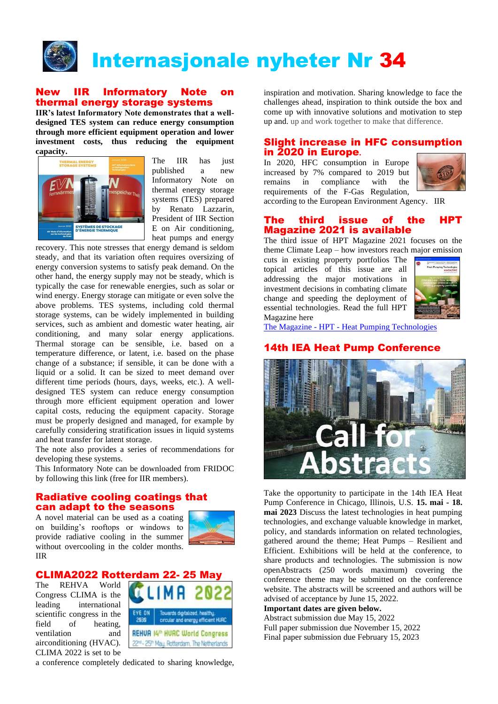

## New IIR Informatory Note on thermal energy storage systems

**IIR's latest Informatory Note demonstrates that a welldesigned TES system can reduce energy consumption through more efficient equipment operation and lower investment costs, thus reducing the equipment capacity.** 



The IIR has just published a new Informatory Note on thermal energy storage systems (TES) prepared by Renato Lazzarin, President of IIR Section E on Air conditioning, heat pumps and energy

recovery. This note stresses that energy demand is seldom steady, and that its variation often requires oversizing of energy conversion systems to satisfy peak demand. On the other hand, the energy supply may not be steady, which is typically the case for renewable energies, such as solar or wind energy. Energy storage can mitigate or even solve the above problems. TES systems, including cold thermal storage systems, can be widely implemented in building services, such as ambient and domestic water heating, air conditioning, and many solar energy applications. Thermal storage can be sensible, i.e. based on a temperature difference, or latent, i.e. based on the phase change of a substance; if sensible, it can be done with a liquid or a solid. It can be sized to meet demand over different time periods (hours, days, weeks, etc.). A welldesigned TES system can reduce energy consumption through more efficient equipment operation and lower capital costs, reducing the equipment capacity. Storage must be properly designed and managed, for example by carefully considering stratification issues in liquid systems and heat transfer for latent storage.

The note also provides a series of recommendations for developing these systems.

This Informatory Note can be downloaded from FRIDOC by following this link (free for IIR members).

## Radiative cooling coatings that can adapt to the seasons

A novel material can be used as a coating on building's rooftops or windows to provide radiative cooling in the summer without overcooling in the colder months. IIR



# CLIMA2022 Rotterdam 22-2

The REHVA World Congress CLIMA is the leading international scientific congress in the field of heating, ventilation and airconditioning (HVAC). CLIMA 2022 is set to be



a conference completely dedicated to sharing knowledge,

inspiration and motivation. Sharing knowledge to face the challenges ahead, inspiration to think outside the box and come up with innovative solutions and motivation to step up and. up and work together to make that difference.

#### Slight increase in HFC consumption in 2020 in Europe**.**

In 2020, HFC consumption in Europe increased by 7% compared to 2019 but remains in compliance with the requirements of the F-Gas Regulation,



according to the European Environment Agency. IIR

### The third issue of the HPT Magazine 2021 is available

The third issue of HPT Magazine 2021 focuses on the theme Climate Leap – how investors reach major emission

cuts in existing property portfolios The topical articles of this issue are all addressing the major motivations in investment decisions in combating climate change and speeding the deployment of essential technologies. Read the full HPT Magazine here



The Magazine - HPT - [Heat Pumping Technologies](https://heatpumpingtechnologies.org/the-magazine/)

# 14th IEA Heat Pump Conference



Take the opportunity to participate in the 14th IEA Heat Pump Conference in Chicago, Illinois, U.S. **15. mai - 18. mai 2023** Discuss the latest technologies in heat pumping technologies, and exchange valuable knowledge in market, policy, and standards information on related technologies, gathered around the theme; Heat Pumps – Resilient and Efficient. Exhibitions will be held at the conference, to share products and technologies. The submission is now openAbstracts (250 words maximum) covering the conference theme may be submitted on the conference website. The abstracts will be screened and authors will be advised of acceptance by June 15, 2022.

## **Important dates are given below.**

Abstract submission due May 15, 2022 Full paper submission due November 15, 2022 Final paper submission due February 15, 2023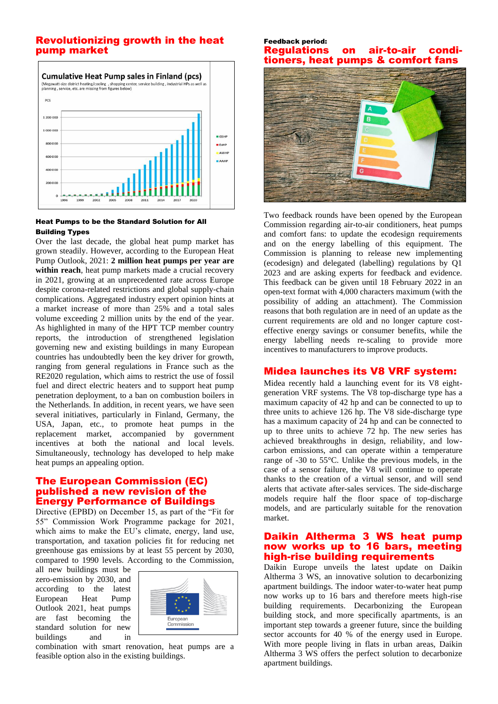## Revolutionizing growth in the heat pump market



#### Heat Pumps to be the Standard Solution for All Building Types

Over the last decade, the global heat pump market has grown steadily. However, according to the European Heat Pump Outlook, 2021: **2 million heat pumps per year are within reach**, heat pump markets made a crucial recovery in 2021, growing at an unprecedented rate across Europe despite corona-related restrictions and global supply-chain complications. Aggregated industry expert opinion hints at a market increase of more than 25% and a total sales volume exceeding 2 million units by the end of the year. As highlighted in many of the HPT TCP member country reports, the introduction of strengthened legislation governing new and existing buildings in many European countries has undoubtedly been the key driver for growth, ranging from general regulations in France such as the RE2020 regulation, which aims to restrict the use of fossil fuel and direct electric heaters and to support heat pump penetration deployment, to a ban on combustion boilers in the Netherlands. In addition, in recent years, we have seen several initiatives, particularly in Finland, Germany, the USA, Japan, etc., to promote heat pumps in the replacement market, accompanied by government incentives at both the national and local levels. Simultaneously, technology has developed to help make heat pumps an appealing option.

## The European Commission (EC) published a new revision of the Energy Performance of Buildings

Directive (EPBD) on December 15, as part of the "Fit for 55" Commission Work Programme package for 2021, which aims to make the EU's climate, energy, land use, transportation, and taxation policies fit for reducing net greenhouse gas emissions by at least 55 percent by 2030, compared to 1990 levels. According to the Commission,

all new buildings must be zero-emission by 2030, and according to the latest European Heat Pump Outlook 2021, heat pumps are fast becoming the standard solution for new buildings and in



combination with smart renovation, heat pumps are a feasible option also in the existing buildings.

#### Feedback period: **Regulations on air-to-air** tioners, heat pumps & comfort fans



Two feedback rounds have been opened by the European Commission regarding air-to-air conditioners, heat pumps and comfort fans: to update the ecodesign requirements and on the energy labelling of this equipment. The Commission is planning to release new implementing (ecodesign) and delegated (labelling) regulations by Q1 2023 and are asking experts for feedback and evidence. This feedback can be given until 18 February 2022 in an open-text format with 4,000 characters maximum (with the possibility of adding an attachment). The Commission reasons that both regulation are in need of an update as the current requirements are old and no longer capture costeffective energy savings or consumer benefits, while the energy labelling needs re-scaling to provide more incentives to manufacturers to improve products.

## Midea launches its V8 VRF system:

Midea recently hald a launching event for its V8 eightgeneration VRF systems. The V8 top-discharge type has a maximum capacity of 42 hp and can be connected to up to three units to achieve 126 hp. The V8 side-discharge type has a maximum capacity of 24 hp and can be connected to up to three units to achieve 72 hp. The new series has achieved breakthroughs in design, reliability, and lowcarbon emissions, and can operate within a temperature range of -30 to 55°C. Unlike the previous models, in the case of a sensor failure, the V8 will continue to operate thanks to the creation of a virtual sensor, and will send alerts that activate after-sales services. The side-discharge models require half the floor space of top-discharge models, and are particularly suitable for the renovation market.

### Daikin Altherma 3 WS heat pump now works up to 16 bars, meeting high-rise building requirements

Daikin Europe unveils the latest update on Daikin Altherma 3 WS, an innovative solution to decarbonizing apartment buildings. The indoor water-to-water heat pump now works up to 16 bars and therefore meets high-rise building requirements. Decarbonizing the European building stock, and more specifically apartments, is an important step towards a greener future, since the building sector accounts for 40 % of the energy used in Europe. With more people living in flats in urban areas, Daikin Altherma 3 WS offers the perfect solution to decarbonize apartment buildings.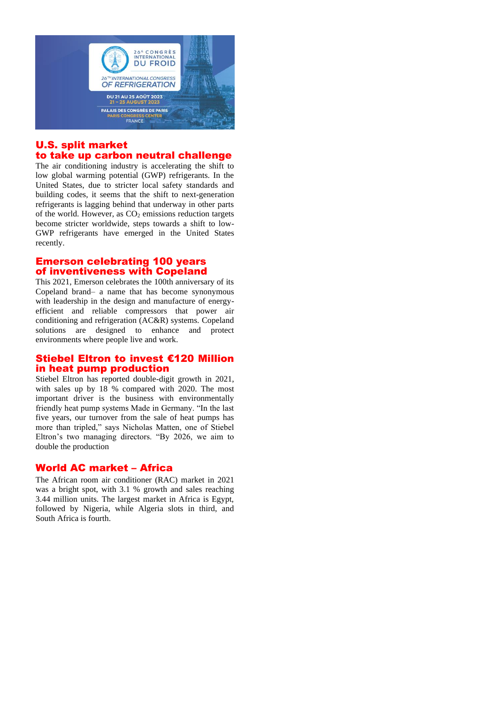

# U.S. split market to take up carbon neutral challenge

The air conditioning industry is accelerating the shift to low global warming potential (GWP) refrigerants. In the United States, due to stricter local safety standards and building codes, it seems that the shift to next-generation refrigerants is lagging behind that underway in other parts of the world. However, as  $CO<sub>2</sub>$  emissions reduction targets become stricter worldwide, steps towards a shift to low-GWP refrigerants have emerged in the United States recently.

# Emerson celebrating 100 years of inventiveness with Copeland

This 2021, Emerson celebrates the 100th anniversary of its Copeland brand– a name that has become synonymous with leadership in the design and manufacture of energyefficient and reliable compressors that power air conditioning and refrigeration (AC&R) systems. Copeland solutions are designed to enhance and protect environments where people live and work.

## Stiebel Eltron to invest €120 Million in heat pump production

Stiebel Eltron has reported double-digit growth in 2021, with sales up by 18 % compared with 2020. The most important driver is the business with environmentally friendly heat pump systems Made in Germany. "In the last five years, our turnover from the sale of heat pumps has more than tripled," says Nicholas Matten, one of Stiebel Eltron's two managing directors. "By 2026, we aim to double the production

## World AC market – Africa

The African room air conditioner (RAC) market in 2021 was a bright spot, with 3.1 % growth and sales reaching 3.44 million units. The largest market in Africa is Egypt, followed by Nigeria, while Algeria slots in third, and South Africa is fourth.